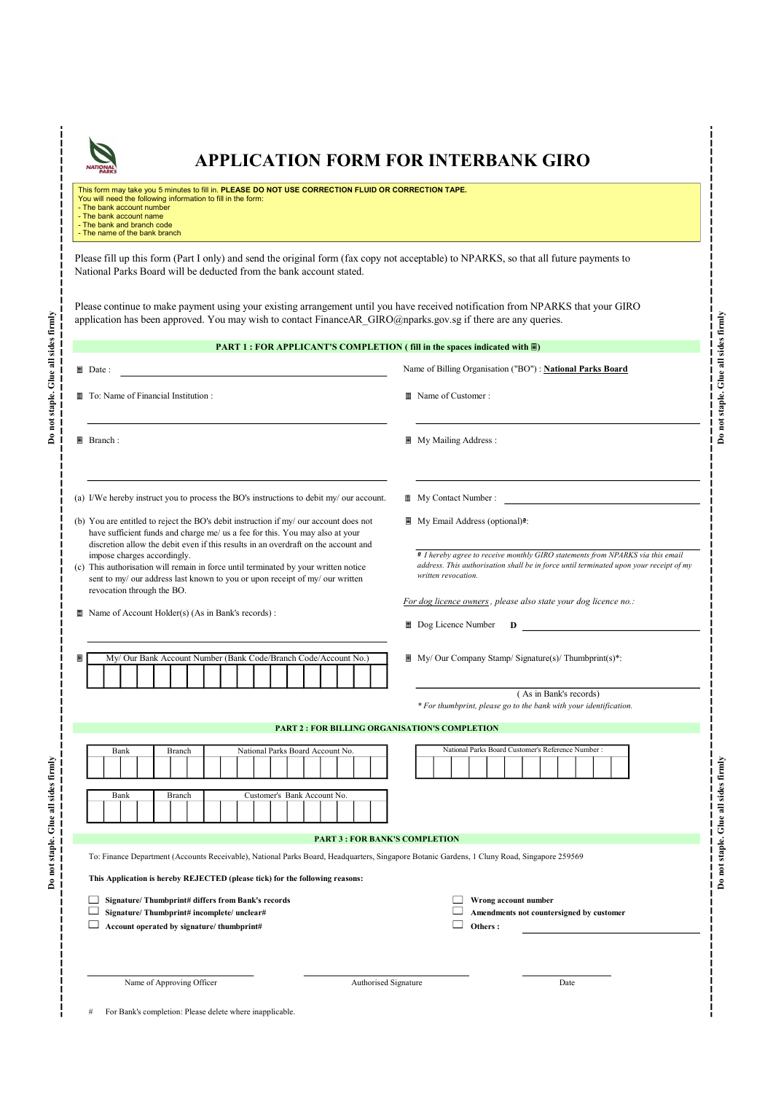

## APPLICATION FORM FOR INTERBANK GIRO

This form may take you 5 minutes to fill in. PLEASE DO NOT USE CORRECTION FLUID OR CORRECTION TAPE.<br>You will need the following information to fill in the form:<br>- The bank account number - The bank account name

- The bank and branch code - The name of the bank branch

Please fill up this form (Part I only) and send the original form (fax copy not acceptable) to NPARKS, so that all future payments to National Parks Board will be deducted from the bank account stated.

Please continue to make payment using your existing arrangement until you have received notification from NPARKS that your GIRO

| PART 1 : FOR APPLICANT'S COMPLETION (fill in the spaces indicated with ■)                                                                                                                                                                                   |                                                                                                                                                                                               |
|-------------------------------------------------------------------------------------------------------------------------------------------------------------------------------------------------------------------------------------------------------------|-----------------------------------------------------------------------------------------------------------------------------------------------------------------------------------------------|
| $\Box$ Date :                                                                                                                                                                                                                                               | Name of Billing Organisation ("BO") : National Parks Board                                                                                                                                    |
| To: Name of Financial Institution :                                                                                                                                                                                                                         | ■ Name of Customer:                                                                                                                                                                           |
| ■ Branch:                                                                                                                                                                                                                                                   | My Mailing Address :                                                                                                                                                                          |
| (a) I/We hereby instruct you to process the BO's instructions to debit my/ our account.                                                                                                                                                                     | My Contact Number:                                                                                                                                                                            |
| (b) You are entitled to reject the BO's debit instruction if my/ our account does not<br>have sufficient funds and charge me/ us a fee for this. You may also at your<br>discretion allow the debit even if this results in an overdraft on the account and | My Email Address (optional) <sup>2</sup> :                                                                                                                                                    |
| impose charges accordingly.<br>(c) This authorisation will remain in force until terminated by your written notice<br>sent to my/ our address last known to you or upon receipt of my/ our written<br>revocation through the BO.                            | I hereby agree to receive monthly GIRO statements from NPARKS via this email<br>address. This authorisation shall be in force until terminated upon your receipt of my<br>written revocation. |
| Name of Account Holder(s) (As in Bank's records) :                                                                                                                                                                                                          | For dog licence owners, please also state your dog licence no.:<br>$\Box$ Dog Licence Number $\Box$ D                                                                                         |
| My/ Our Bank Account Number (Bank Code/Branch Code/Account No.)                                                                                                                                                                                             | $\blacksquare$ My/ Our Company Stamp/ Signature(s)/ Thumbprint(s)*:<br>(As in Bank's records)                                                                                                 |
| <b>PART 2 : FOR BILLING ORGANISATION'S COMPLETION</b>                                                                                                                                                                                                       | * For thumbprint, please go to the bank with your identification.                                                                                                                             |
| Bank<br>National Parks Board Account No.<br>Branch                                                                                                                                                                                                          | National Parks Board Customer's Reference Number :                                                                                                                                            |
| Bank<br>Branch<br>Customer's Bank Account No.                                                                                                                                                                                                               |                                                                                                                                                                                               |
| <b>PART 3 : FOR BANK'S COMPLETION</b>                                                                                                                                                                                                                       |                                                                                                                                                                                               |
| To: Finance Department (Accounts Receivable), National Parks Board, Headquarters, Singapore Botanic Gardens, 1 Cluny Road, Singapore 259569<br>This Application is hereby REJECTED (please tick) for the following reasons:                                 |                                                                                                                                                                                               |
| Signature/Thumbprint# differs from Bank's records<br>$\Box$<br>Signature/Thumbprint#incomplete/unclear#<br>Account operated by signature/thumbprint#<br>ப                                                                                                   | Wrong account number<br>ப<br>$\Box$<br>Amendments not countersigned by customer<br>$\Box$<br>Others:                                                                                          |
|                                                                                                                                                                                                                                                             |                                                                                                                                                                                               |
| Name of Approving Officer<br>Authorised Signature                                                                                                                                                                                                           | Date                                                                                                                                                                                          |